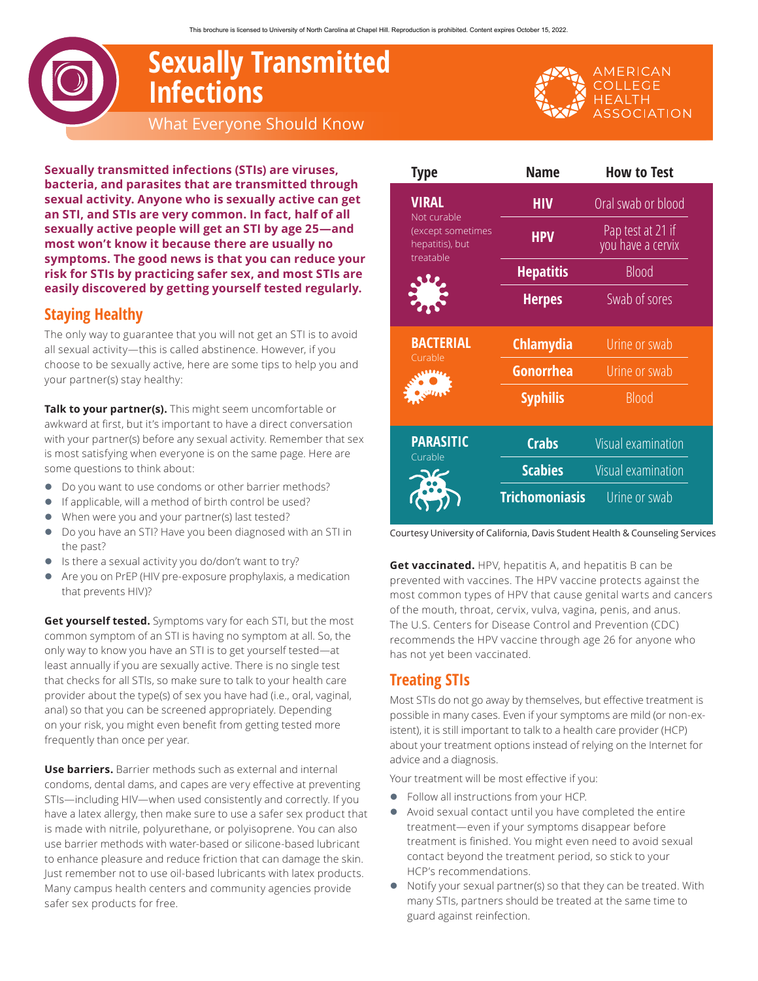# **Sexually Transmitted Infections** What Everyone Should Know

**Sexually transmitted infections (STIs) are viruses, bacteria, and parasites that are transmitted through sexual activity. Anyone who is sexually active can get an STI, and STIs are very common. In fact, half of all sexually active people will get an STI by age 25—and most won't know it because there are usually no symptoms. The good news is that you can reduce your risk for STIs by practicing safer sex, and most STIs are easily discovered by getting yourself tested regularly.**

# **Staying Healthy**

The only way to guarantee that you will not get an STI is to avoid all sexual activity—this is called abstinence. However, if you choose to be sexually active, here are some tips to help you and your partner(s) stay healthy:

**Talk to your partner(s).** This might seem uncomfortable or awkward at first, but it's important to have a direct conversation with your partner(s) before any sexual activity. Remember that sex is most satisfying when everyone is on the same page. Here are some questions to think about:

- $\bullet$  Do you want to use condoms or other barrier methods?
- **•** If applicable, will a method of birth control be used?
- When were you and your partner(s) last tested?
- Do you have an STI? Have you been diagnosed with an STI in the past?
- Is there a sexual activity you do/don't want to try?
- **•** Are you on PrEP (HIV pre-exposure prophylaxis, a medication that prevents HIV)?

**Get yourself tested.** Symptoms vary for each STI, but the most common symptom of an STI is having no symptom at all. So, the only way to know you have an STI is to get yourself tested—at least annually if you are sexually active. There is no single test that checks for all STIs, so make sure to talk to your health care provider about the type(s) of sex you have had (i.e., oral, vaginal, anal) so that you can be screened appropriately. Depending on your risk, you might even benefit from getting tested more frequently than once per year.

**Use barriers.** Barrier methods such as external and internal condoms, dental dams, and capes are very effective at preventing STIs—including HIV—when used consistently and correctly. If you have a latex allergy, then make sure to use a safer sex product that is made with nitrile, polyurethane, or polyisoprene. You can also use barrier methods with water-based or silicone-based lubricant to enhance pleasure and reduce friction that can damage the skin. Just remember not to use oil-based lubricants with latex products. Many campus health centers and community agencies provide safer sex products for free.

| <b>Type</b>                                                                      | <b>Name</b>           | <b>How to Test</b>                     |
|----------------------------------------------------------------------------------|-----------------------|----------------------------------------|
| <b>VIRAL</b><br>Not curable<br>(except sometimes<br>hepatitis), but<br>treatable | <b>HIV</b>            | Oral swab or blood                     |
|                                                                                  | <b>HPV</b>            | Pap test at 21 if<br>you have a cervix |
|                                                                                  | <b>Hepatitis</b>      | <b>Blood</b>                           |
|                                                                                  | <b>Herpes</b>         | Swab of sores                          |
| <b>BACTERIAL</b><br>Curable                                                      | <b>Chlamydia</b>      | Urine or swab                          |
|                                                                                  | <b>Gonorrhea</b>      | Urine or swab                          |
|                                                                                  | <b>Syphilis</b>       | <b>Blood</b>                           |
| <b>PARASITIC</b><br>Curable                                                      | <b>Crabs</b>          | <b>Visual examination</b>              |
|                                                                                  | <b>Scabies</b>        | Visual examination                     |
|                                                                                  | <b>Trichomoniasis</b> | Urine or swab                          |

Courtesy University of California, Davis Student Health & Counseling Services

**Get vaccinated.** HPV, hepatitis A, and hepatitis B can be prevented with vaccines. The HPV vaccine protects against the most common types of HPV that cause genital warts and cancers of the mouth, throat, cervix, vulva, vagina, penis, and anus. The U.S. Centers for Disease Control and Prevention (CDC) recommends the HPV vaccine through age 26 for anyone who has not yet been vaccinated.

# **Treating STIs**

Most STIs do not go away by themselves, but effective treatment is possible in many cases. Even if your symptoms are mild (or non-existent), it is still important to talk to a health care provider (HCP) about your treatment options instead of relying on the Internet for advice and a diagnosis.

Your treatment will be most effective if you:

- Follow all instructions from your HCP.
- Avoid sexual contact until you have completed the entire treatment—even if your symptoms disappear before treatment is finished. You might even need to avoid sexual contact beyond the treatment period, so stick to your HCP's recommendations.
- $\bullet$  Notify your sexual partner(s) so that they can be treated. With many STIs, partners should be treated at the same time to guard against reinfection.